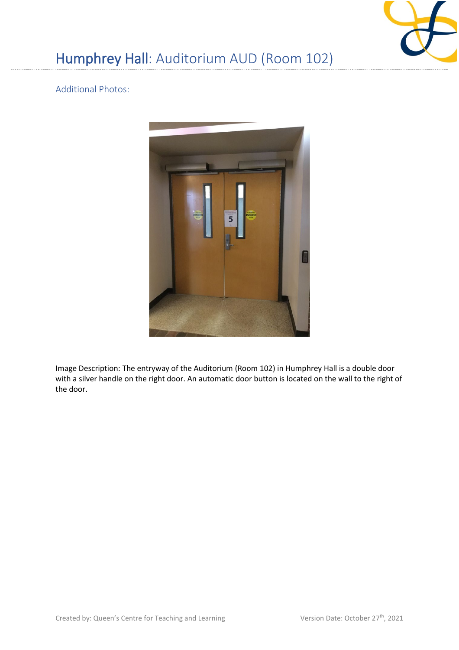

## Humphrey Hall: Auditorium AUD (Room 102)

## Additional Photos:



Image Description: The entryway of the Auditorium (Room 102) in Humphrey Hall is a double door with a silver handle on the right door. An automatic door button is located on the wall to the right of the door.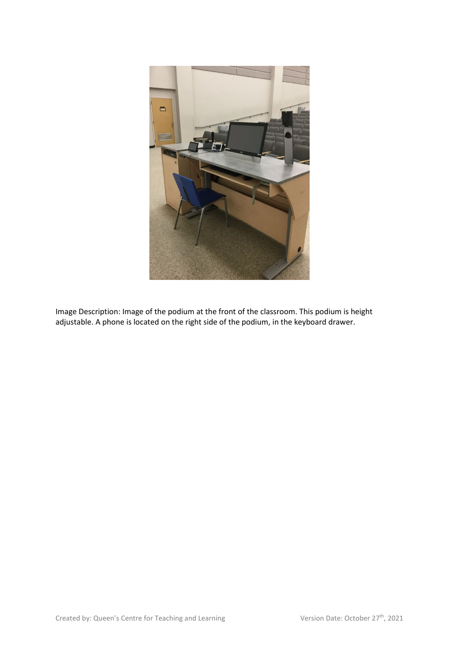

Image Description: Image of the podium at the front of the classroom. This podium is height adjustable. A phone is located on the right side of the podium, in the keyboard drawer.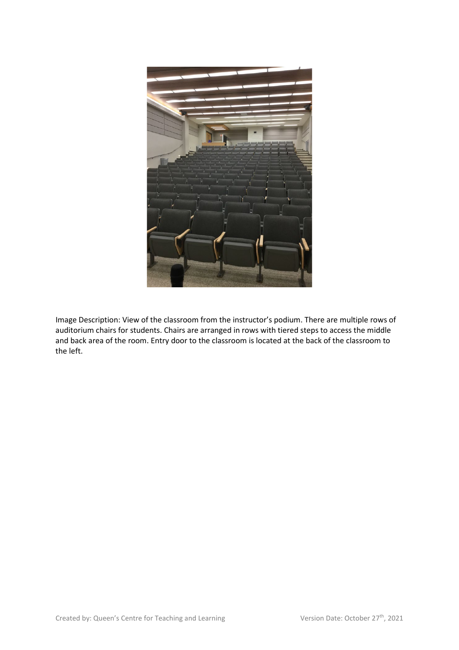

Image Description: View of the classroom from the instructor's podium. There are multiple rows of auditorium chairs for students. Chairs are arranged in rows with tiered steps to access the middle and back area of the room. Entry door to the classroom is located at the back of the classroom to the left.